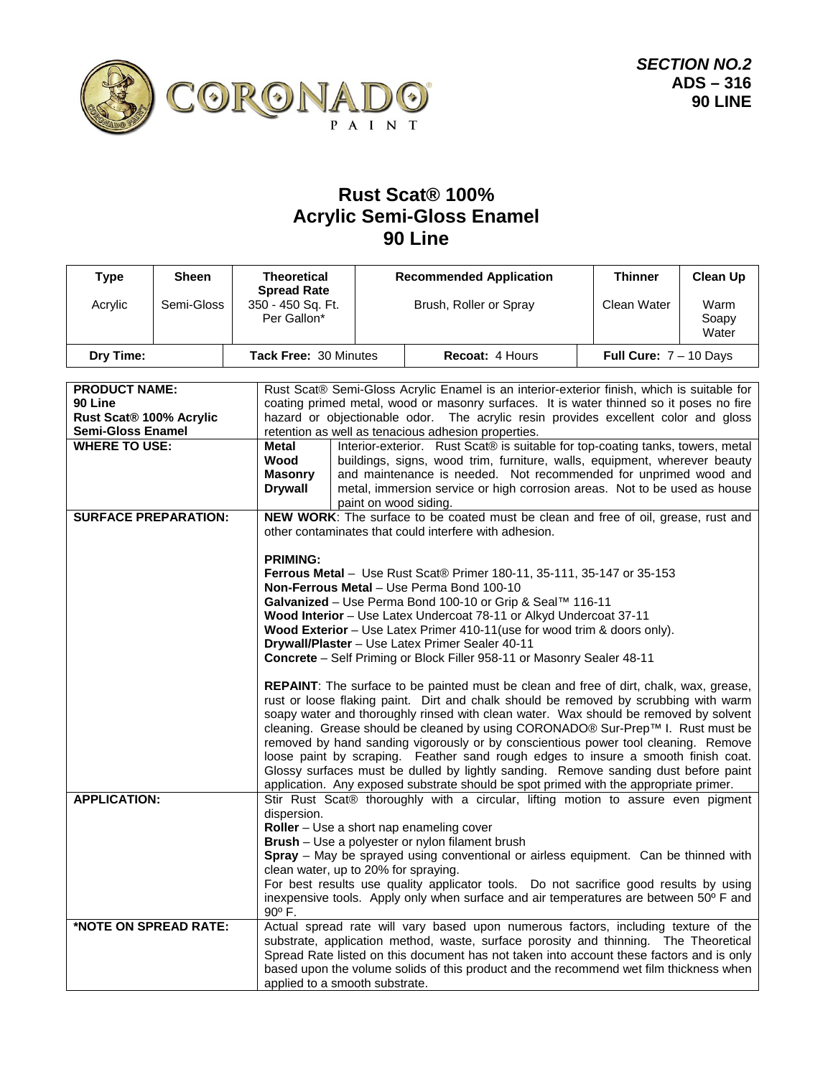

## **Rust Scat® 100% Acrylic Semi-Gloss Enamel 90 Line**

| <b>Type</b>                                                                            | <b>Sheen</b> | <b>Theoretical</b>                                            |                                                                                                                                                                                                                                                                                                                                       | <b>Recommended Application</b>                                                                                                                                                                                                                                                                                                                                                                                                                                                                                                                                                                                                                                                                                                                                                                                                             | <b>Thinner</b> | <b>Clean Up</b>        |  |
|----------------------------------------------------------------------------------------|--------------|---------------------------------------------------------------|---------------------------------------------------------------------------------------------------------------------------------------------------------------------------------------------------------------------------------------------------------------------------------------------------------------------------------------|--------------------------------------------------------------------------------------------------------------------------------------------------------------------------------------------------------------------------------------------------------------------------------------------------------------------------------------------------------------------------------------------------------------------------------------------------------------------------------------------------------------------------------------------------------------------------------------------------------------------------------------------------------------------------------------------------------------------------------------------------------------------------------------------------------------------------------------------|----------------|------------------------|--|
| Acrylic                                                                                | Semi-Gloss   | <b>Spread Rate</b><br>350 - 450 Sq. Ft.<br>Per Gallon*        |                                                                                                                                                                                                                                                                                                                                       | Brush, Roller or Spray                                                                                                                                                                                                                                                                                                                                                                                                                                                                                                                                                                                                                                                                                                                                                                                                                     | Clean Water    | Warm<br>Soapy<br>Water |  |
| Dry Time:                                                                              |              | Tack Free: 30 Minutes                                         |                                                                                                                                                                                                                                                                                                                                       | Recoat: 4 Hours<br>Full Cure: $7 - 10$ Days                                                                                                                                                                                                                                                                                                                                                                                                                                                                                                                                                                                                                                                                                                                                                                                                |                |                        |  |
| <b>PRODUCT NAME:</b><br>90 Line<br>Rust Scat® 100% Acrylic<br><b>Semi-Gloss Enamel</b> |              |                                                               | Rust Scat® Semi-Gloss Acrylic Enamel is an interior-exterior finish, which is suitable for<br>coating primed metal, wood or masonry surfaces. It is water thinned so it poses no fire<br>hazard or objectionable odor. The acrylic resin provides excellent color and gloss<br>retention as well as tenacious adhesion properties.    |                                                                                                                                                                                                                                                                                                                                                                                                                                                                                                                                                                                                                                                                                                                                                                                                                                            |                |                        |  |
| <b>WHERE TO USE:</b>                                                                   |              | <b>Metal</b><br>Wood<br><b>Masonry</b><br><b>Drywall</b>      | Interior-exterior. Rust Scat® is suitable for top-coating tanks, towers, metal<br>buildings, signs, wood trim, furniture, walls, equipment, wherever beauty<br>and maintenance is needed. Not recommended for unprimed wood and<br>metal, immersion service or high corrosion areas. Not to be used as house<br>paint on wood siding. |                                                                                                                                                                                                                                                                                                                                                                                                                                                                                                                                                                                                                                                                                                                                                                                                                                            |                |                        |  |
| <b>SURFACE PREPARATION:</b>                                                            |              |                                                               | NEW WORK: The surface to be coated must be clean and free of oil, grease, rust and<br>other contaminates that could interfere with adhesion.                                                                                                                                                                                          |                                                                                                                                                                                                                                                                                                                                                                                                                                                                                                                                                                                                                                                                                                                                                                                                                                            |                |                        |  |
|                                                                                        |              | <b>PRIMING:</b>                                               |                                                                                                                                                                                                                                                                                                                                       | <b>Ferrous Metal</b> - Use Rust Scat® Primer 180-11, 35-111, 35-147 or 35-153<br>Non-Ferrous Metal - Use Perma Bond 100-10<br>Galvanized - Use Perma Bond 100-10 or Grip & Seal™ 116-11<br>Wood Interior - Use Latex Undercoat 78-11 or Alkyd Undercoat 37-11<br>Wood Exterior - Use Latex Primer 410-11(use for wood trim & doors only).<br>Drywall/Plaster - Use Latex Primer Sealer 40-11<br>Concrete - Self Priming or Block Filler 958-11 or Masonry Sealer 48-11<br><b>REPAINT:</b> The surface to be painted must be clean and free of dirt, chalk, wax, grease,<br>rust or loose flaking paint. Dirt and chalk should be removed by scrubbing with warm<br>soapy water and thoroughly rinsed with clean water. Wax should be removed by solvent<br>cleaning. Grease should be cleaned by using CORONADO® Sur-Prep™ I. Rust must be |                |                        |  |
|                                                                                        |              |                                                               |                                                                                                                                                                                                                                                                                                                                       | removed by hand sanding vigorously or by conscientious power tool cleaning. Remove<br>loose paint by scraping. Feather sand rough edges to insure a smooth finish coat.<br>Glossy surfaces must be dulled by lightly sanding. Remove sanding dust before paint<br>application. Any exposed substrate should be spot primed with the appropriate primer.                                                                                                                                                                                                                                                                                                                                                                                                                                                                                    |                |                        |  |
| <b>APPLICATION:</b>                                                                    |              | dispersion.<br>clean water, up to 20% for spraying.<br>90° F. |                                                                                                                                                                                                                                                                                                                                       | Stir Rust Scat® thoroughly with a circular, lifting motion to assure even pigment<br>Roller - Use a short nap enameling cover<br>Brush - Use a polyester or nylon filament brush<br>Spray - May be sprayed using conventional or airless equipment. Can be thinned with<br>For best results use quality applicator tools. Do not sacrifice good results by using<br>inexpensive tools. Apply only when surface and air temperatures are between 50° F and                                                                                                                                                                                                                                                                                                                                                                                  |                |                        |  |
| *NOTE ON SPREAD RATE:                                                                  |              | applied to a smooth substrate.                                |                                                                                                                                                                                                                                                                                                                                       | Actual spread rate will vary based upon numerous factors, including texture of the<br>substrate, application method, waste, surface porosity and thinning. The Theoretical<br>Spread Rate listed on this document has not taken into account these factors and is only<br>based upon the volume solids of this product and the recommend wet film thickness when                                                                                                                                                                                                                                                                                                                                                                                                                                                                           |                |                        |  |